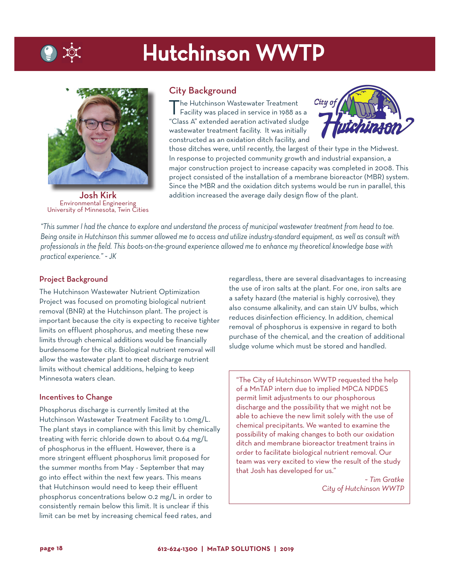## Hutchinson WWTP



Josh Kirk Environmental Engineering University of Minnesota, Twin Cities

## City Background

The Hutchinson Wastewater Treatment<br>Facility was placed in service in 1988 as a "Class A" extended aeration activated sludge wastewater treatment facility. It was initially constructed as an oxidation ditch facility, and



those ditches were, until recently, the largest of their type in the Midwest. In response to projected community growth and industrial expansion, a major construction project to increase capacity was completed in 2008. This project consisted of the installation of a membrane bioreactor (MBR) system. Since the MBR and the oxidation ditch systems would be run in parallel, this addition increased the average daily design flow of the plant.

*"This summer I had the chance to explore and understand the process of municipal wastewater treatment from head to toe. Being onsite in Hutchinson this summer allowed me to access and utilize industry-standard equipment, as well as consult with professionals in the field. This boots-on-the-ground experience allowed me to enhance my theoretical knowledge base with practical experience." ~ JK*

#### Project Background

The Hutchinson Wastewater Nutrient Optimization Project was focused on promoting biological nutrient removal (BNR) at the Hutchinson plant. The project is important because the city is expecting to receive tighter limits on effluent phosphorus, and meeting these new limits through chemical additions would be financially burdensome for the city. Biological nutrient removal will allow the wastewater plant to meet discharge nutrient limits without chemical additions, helping to keep Minnesota waters clean.

#### Incentives to Change

Phosphorus discharge is currently limited at the Hutchinson Wastewater Treatment Facility to 1.0mg/L. The plant stays in compliance with this limit by chemically treating with ferric chloride down to about 0.64 mg/L of phosphorus in the effluent. However, there is a more stringent effluent phosphorus limit proposed for the summer months from May - September that may go into effect within the next few years. This means that Hutchinson would need to keep their effluent phosphorus concentrations below 0.2 mg/L in order to consistently remain below this limit. It is unclear if this limit can be met by increasing chemical feed rates, and

regardless, there are several disadvantages to increasing the use of iron salts at the plant. For one, iron salts are a safety hazard (the material is highly corrosive), they also consume alkalinity, and can stain UV bulbs, which reduces disinfection efficiency. In addition, chemical removal of phosphorus is expensive in regard to both purchase of the chemical, and the creation of additional sludge volume which must be stored and handled.

"The City of Hutchinson WWTP requested the help of a MnTAP intern due to implied MPCA NPDES permit limit adjustments to our phosphorous discharge and the possibility that we might not be able to achieve the new limit solely with the use of chemical precipitants. We wanted to examine the possibility of making changes to both our oxidation ditch and membrane bioreactor treatment trains in order to facilitate biological nutrient removal. Our team was very excited to view the result of the study that Josh has developed for us."

> *~ Tim Gratke City of Hutchinson WWTP*